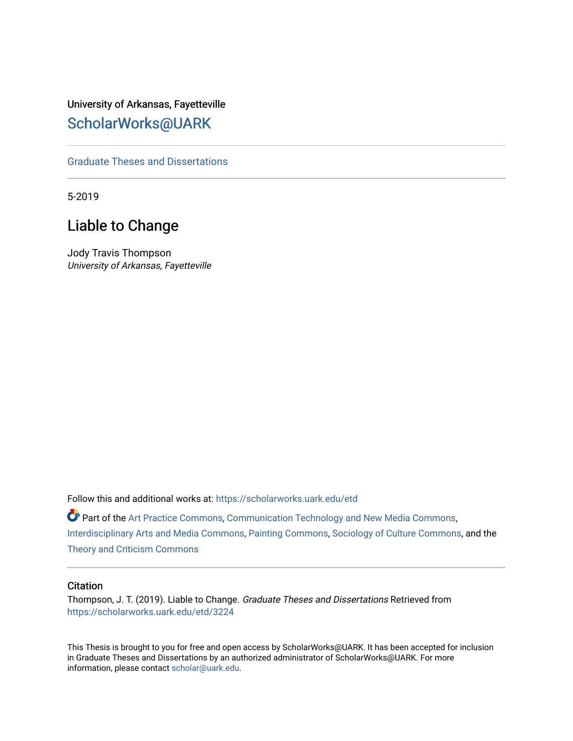University of Arkansas, Fayetteville [ScholarWorks@UARK](https://scholarworks.uark.edu/) 

[Graduate Theses and Dissertations](https://scholarworks.uark.edu/etd) 

5-2019

# Liable to Change

Jody Travis Thompson University of Arkansas, Fayetteville

Follow this and additional works at: [https://scholarworks.uark.edu/etd](https://scholarworks.uark.edu/etd?utm_source=scholarworks.uark.edu%2Fetd%2F3224&utm_medium=PDF&utm_campaign=PDFCoverPages)

Part of the [Art Practice Commons](http://network.bepress.com/hgg/discipline/509?utm_source=scholarworks.uark.edu%2Fetd%2F3224&utm_medium=PDF&utm_campaign=PDFCoverPages), [Communication Technology and New Media Commons](http://network.bepress.com/hgg/discipline/327?utm_source=scholarworks.uark.edu%2Fetd%2F3224&utm_medium=PDF&utm_campaign=PDFCoverPages), [Interdisciplinary Arts and Media Commons](http://network.bepress.com/hgg/discipline/1137?utm_source=scholarworks.uark.edu%2Fetd%2F3224&utm_medium=PDF&utm_campaign=PDFCoverPages), [Painting Commons,](http://network.bepress.com/hgg/discipline/1339?utm_source=scholarworks.uark.edu%2Fetd%2F3224&utm_medium=PDF&utm_campaign=PDFCoverPages) [Sociology of Culture Commons](http://network.bepress.com/hgg/discipline/431?utm_source=scholarworks.uark.edu%2Fetd%2F3224&utm_medium=PDF&utm_campaign=PDFCoverPages), and the [Theory and Criticism Commons](http://network.bepress.com/hgg/discipline/516?utm_source=scholarworks.uark.edu%2Fetd%2F3224&utm_medium=PDF&utm_campaign=PDFCoverPages)

#### **Citation**

Thompson, J. T. (2019). Liable to Change. Graduate Theses and Dissertations Retrieved from [https://scholarworks.uark.edu/etd/3224](https://scholarworks.uark.edu/etd/3224?utm_source=scholarworks.uark.edu%2Fetd%2F3224&utm_medium=PDF&utm_campaign=PDFCoverPages)

This Thesis is brought to you for free and open access by ScholarWorks@UARK. It has been accepted for inclusion in Graduate Theses and Dissertations by an authorized administrator of ScholarWorks@UARK. For more information, please contact [scholar@uark.edu.](mailto:scholar@uark.edu)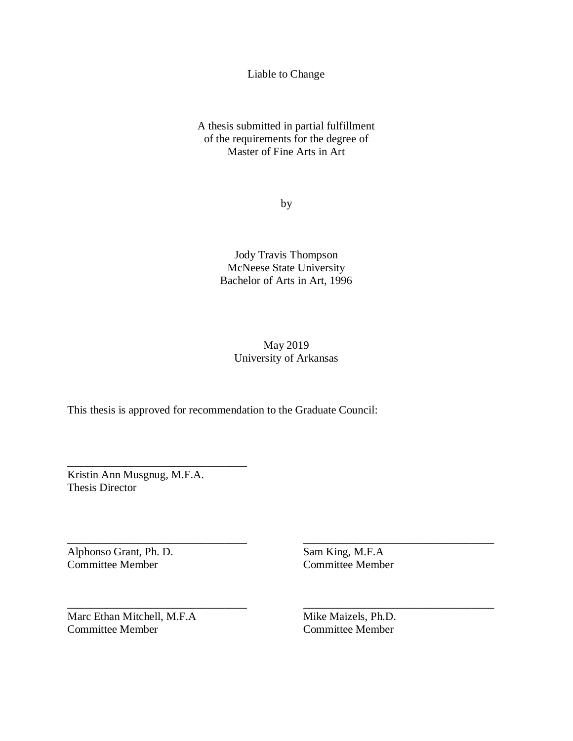Liable to Change

A thesis submitted in partial fulfillment of the requirements for the degree of Master of Fine Arts in Art

by

Jody Travis Thompson McNeese State University Bachelor of Arts in Art, 1996

## May 2019 University of Arkansas

This thesis is approved for recommendation to the Graduate Council:

Kristin Ann Musgnug, M.F.A. Thesis Director

\_\_\_\_\_\_\_\_\_\_\_\_\_\_\_\_\_\_\_\_\_\_\_\_\_\_\_\_\_\_\_\_

\_\_\_\_\_\_\_\_\_\_\_\_\_\_\_\_\_\_\_\_\_\_\_\_\_\_\_\_\_\_\_\_

\_\_\_\_\_\_\_\_\_\_\_\_\_\_\_\_\_\_\_\_\_\_\_\_\_\_\_\_\_\_\_\_

Alphonso Grant, Ph. D. Committee Member

Sam King, M.F.A Committee Member

\_\_\_\_\_\_\_\_\_\_\_\_\_\_\_\_\_\_\_\_\_\_\_\_\_\_\_\_\_\_\_\_\_\_

\_\_\_\_\_\_\_\_\_\_\_\_\_\_\_\_\_\_\_\_\_\_\_\_\_\_\_\_\_\_\_\_\_\_

Marc Ethan Mitchell, M.F.A Committee Member

Mike Maizels, Ph.D. Committee Member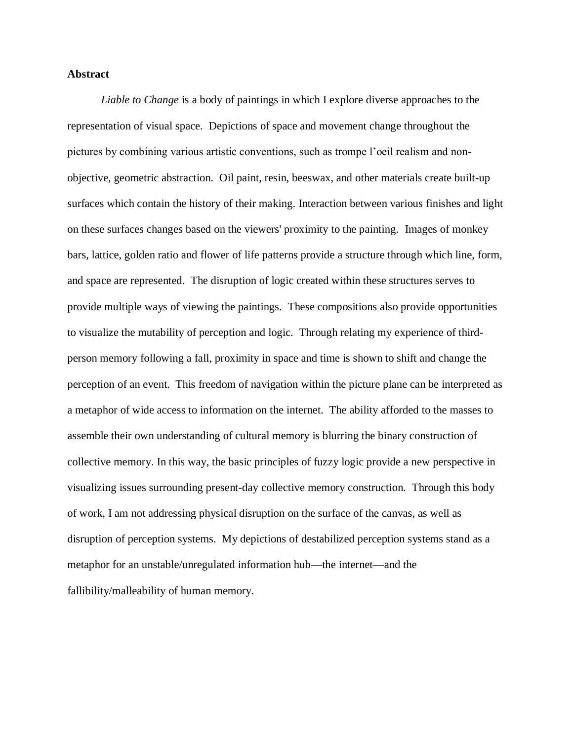#### **Abstract**

*Liable to Change* is a body of paintings in which I explore diverse approaches to the representation of visual space. Depictions of space and movement change throughout the pictures by combining various artistic conventions, such as trompe l'oeil realism and nonobjective, geometric abstraction. Oil paint, resin, beeswax, and other materials create built-up surfaces which contain the history of their making. Interaction between various finishes and light on these surfaces changes based on the viewers' proximity to the painting. Images of monkey bars, lattice, golden ratio and flower of life patterns provide a structure through which line, form, and space are represented. The disruption of logic created within these structures serves to provide multiple ways of viewing the paintings. These compositions also provide opportunities to visualize the mutability of perception and logic. Through relating my experience of thirdperson memory following a fall, proximity in space and time is shown to shift and change the perception of an event. This freedom of navigation within the picture plane can be interpreted as a metaphor of wide access to information on the internet. The ability afforded to the masses to assemble their own understanding of cultural memory is blurring the binary construction of collective memory. In this way, the basic principles of fuzzy logic provide a new perspective in visualizing issues surrounding present-day collective memory construction. Through this body of work, I am not addressing physical disruption on the surface of the canvas, as well as disruption of perception systems. My depictions of destabilized perception systems stand as a metaphor for an unstable/unregulated information hub—the internet—and the fallibility/malleability of human memory.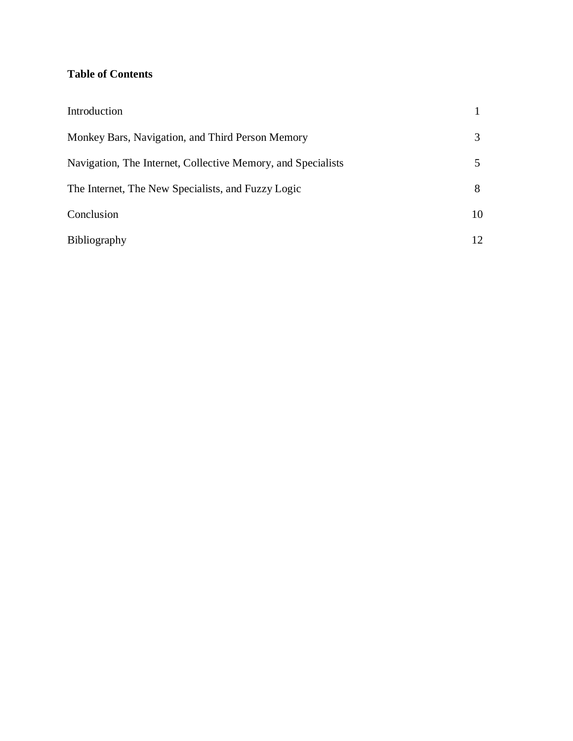## **Table of Contents**

| Introduction                                                 |                 |
|--------------------------------------------------------------|-----------------|
| Monkey Bars, Navigation, and Third Person Memory             | 3               |
| Navigation, The Internet, Collective Memory, and Specialists |                 |
| The Internet, The New Specialists, and Fuzzy Logic           | 8               |
| Conclusion                                                   | 10              |
| Bibliography                                                 | 12 <sub>1</sub> |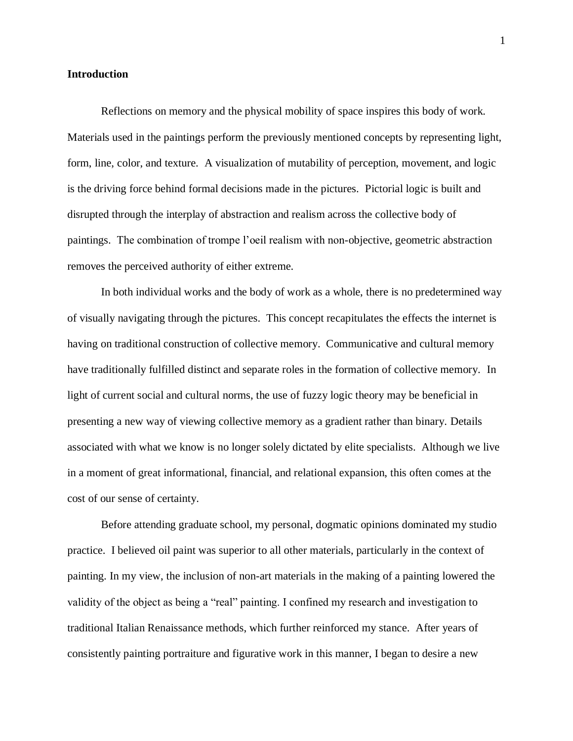#### **Introduction**

Reflections on memory and the physical mobility of space inspires this body of work. Materials used in the paintings perform the previously mentioned concepts by representing light, form, line, color, and texture. A visualization of mutability of perception, movement, and logic is the driving force behind formal decisions made in the pictures. Pictorial logic is built and disrupted through the interplay of abstraction and realism across the collective body of paintings. The combination of trompe l'oeil realism with non-objective, geometric abstraction removes the perceived authority of either extreme.

In both individual works and the body of work as a whole, there is no predetermined way of visually navigating through the pictures. This concept recapitulates the effects the internet is having on traditional construction of collective memory. Communicative and cultural memory have traditionally fulfilled distinct and separate roles in the formation of collective memory. In light of current social and cultural norms, the use of fuzzy logic theory may be beneficial in presenting a new way of viewing collective memory as a gradient rather than binary. Details associated with what we know is no longer solely dictated by elite specialists. Although we live in a moment of great informational, financial, and relational expansion, this often comes at the cost of our sense of certainty.

Before attending graduate school, my personal, dogmatic opinions dominated my studio practice. I believed oil paint was superior to all other materials, particularly in the context of painting. In my view, the inclusion of non-art materials in the making of a painting lowered the validity of the object as being a "real" painting. I confined my research and investigation to traditional Italian Renaissance methods, which further reinforced my stance. After years of consistently painting portraiture and figurative work in this manner, I began to desire a new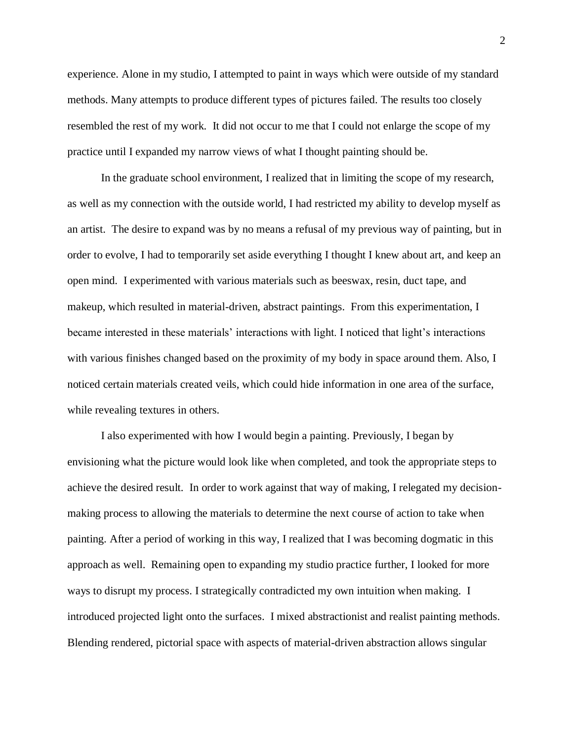experience. Alone in my studio, I attempted to paint in ways which were outside of my standard methods. Many attempts to produce different types of pictures failed. The results too closely resembled the rest of my work. It did not occur to me that I could not enlarge the scope of my practice until I expanded my narrow views of what I thought painting should be.

In the graduate school environment, I realized that in limiting the scope of my research, as well as my connection with the outside world, I had restricted my ability to develop myself as an artist. The desire to expand was by no means a refusal of my previous way of painting, but in order to evolve, I had to temporarily set aside everything I thought I knew about art, and keep an open mind. I experimented with various materials such as beeswax, resin, duct tape, and makeup, which resulted in material-driven, abstract paintings. From this experimentation, I became interested in these materials' interactions with light. I noticed that light's interactions with various finishes changed based on the proximity of my body in space around them. Also, I noticed certain materials created veils, which could hide information in one area of the surface, while revealing textures in others.

I also experimented with how I would begin a painting. Previously, I began by envisioning what the picture would look like when completed, and took the appropriate steps to achieve the desired result. In order to work against that way of making, I relegated my decisionmaking process to allowing the materials to determine the next course of action to take when painting. After a period of working in this way, I realized that I was becoming dogmatic in this approach as well. Remaining open to expanding my studio practice further, I looked for more ways to disrupt my process. I strategically contradicted my own intuition when making. I introduced projected light onto the surfaces. I mixed abstractionist and realist painting methods. Blending rendered, pictorial space with aspects of material-driven abstraction allows singular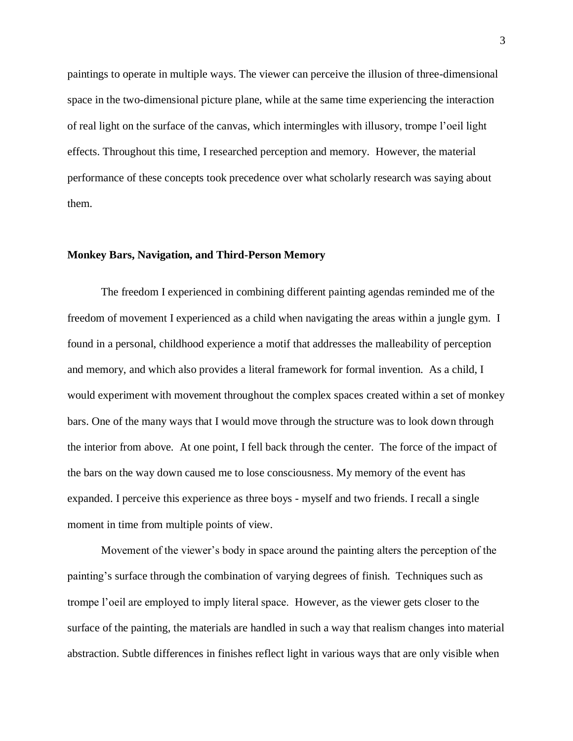paintings to operate in multiple ways. The viewer can perceive the illusion of three-dimensional space in the two-dimensional picture plane, while at the same time experiencing the interaction of real light on the surface of the canvas, which intermingles with illusory, trompe l'oeil light effects. Throughout this time, I researched perception and memory. However, the material performance of these concepts took precedence over what scholarly research was saying about them.

#### **Monkey Bars, Navigation, and Third-Person Memory**

The freedom I experienced in combining different painting agendas reminded me of the freedom of movement I experienced as a child when navigating the areas within a jungle gym. I found in a personal, childhood experience a motif that addresses the malleability of perception and memory, and which also provides a literal framework for formal invention. As a child, I would experiment with movement throughout the complex spaces created within a set of monkey bars. One of the many ways that I would move through the structure was to look down through the interior from above. At one point, I fell back through the center. The force of the impact of the bars on the way down caused me to lose consciousness. My memory of the event has expanded. I perceive this experience as three boys - myself and two friends. I recall a single moment in time from multiple points of view.

Movement of the viewer's body in space around the painting alters the perception of the painting's surface through the combination of varying degrees of finish. Techniques such as trompe l'oeil are employed to imply literal space. However, as the viewer gets closer to the surface of the painting, the materials are handled in such a way that realism changes into material abstraction. Subtle differences in finishes reflect light in various ways that are only visible when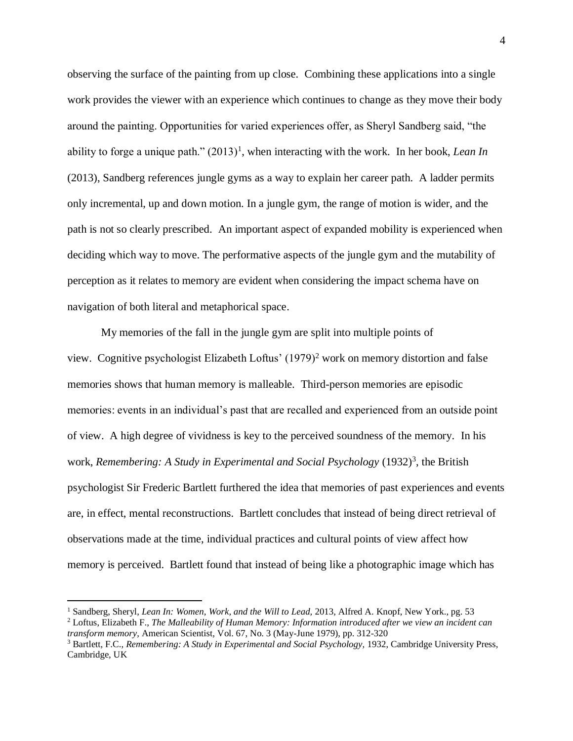observing the surface of the painting from up close. Combining these applications into a single work provides the viewer with an experience which continues to change as they move their body around the painting. Opportunities for varied experiences offer, as Sheryl Sandberg said, "the ability to forge a unique path."  $(2013)^1$ , when interacting with the work. In her book, *Lean In* (2013), Sandberg references jungle gyms as a way to explain her career path. A ladder permits only incremental, up and down motion. In a jungle gym, the range of motion is wider, and the path is not so clearly prescribed. An important aspect of expanded mobility is experienced when deciding which way to move. The performative aspects of the jungle gym and the mutability of perception as it relates to memory are evident when considering the impact schema have on navigation of both literal and metaphorical space.

My memories of the fall in the jungle gym are split into multiple points of view. Cognitive psychologist Elizabeth Loftus' (1979)<sup>2</sup> work on memory distortion and false memories shows that human memory is malleable. Third-person memories are episodic memories: events in an individual's past that are recalled and experienced from an outside point of view. A high degree of vividness is key to the perceived soundness of the memory. In his work, *Remembering: A Study in Experimental and Social Psychology* (1932)<sup>3</sup>, the British psychologist Sir Frederic Bartlett furthered the idea that memories of past experiences and events are, in effect, mental reconstructions. Bartlett concludes that instead of being direct retrieval of observations made at the time, individual practices and cultural points of view affect how memory is perceived. Bartlett found that instead of being like a photographic image which has

<sup>&</sup>lt;sup>1</sup> Sandberg, Sheryl, *Lean In: Women, Work, and the Will to Lead, 2013, Alfred A. Knopf, New York., pg. 53* <sup>2</sup> Loftus, Elizabeth F., *The Malleability of Human Memory: Information introduced after we view an incident can transform memory,* American Scientist, Vol. 67, No. 3 (May-June 1979), pp. 312-320

<sup>3</sup> Bartlett, F.C., *Remembering: A Study in Experimental and Social Psychology,* 1932, Cambridge University Press, Cambridge, UK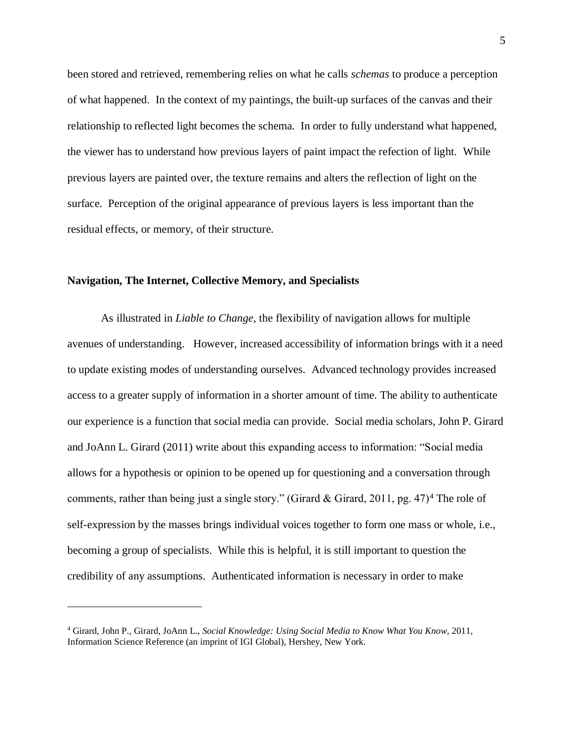been stored and retrieved, remembering relies on what he calls *schemas* to produce a perception of what happened. In the context of my paintings, the built-up surfaces of the canvas and their relationship to reflected light becomes the schema. In order to fully understand what happened, the viewer has to understand how previous layers of paint impact the refection of light. While previous layers are painted over, the texture remains and alters the reflection of light on the surface. Perception of the original appearance of previous layers is less important than the residual effects, or memory, of their structure.

#### **Navigation, The Internet, Collective Memory, and Specialists**

As illustrated in *Liable to Change*, the flexibility of navigation allows for multiple avenues of understanding. However, increased accessibility of information brings with it a need to update existing modes of understanding ourselves. Advanced technology provides increased access to a greater supply of information in a shorter amount of time. The ability to authenticate our experience is a function that social media can provide. Social media scholars, John P. Girard and JoAnn L. Girard (2011) write about this expanding access to information: "Social media allows for a hypothesis or opinion to be opened up for questioning and a conversation through comments, rather than being just a single story." (Girard & Girard, 2011, pg. 47)<sup>4</sup> The role of self-expression by the masses brings individual voices together to form one mass or whole, i.e., becoming a group of specialists. While this is helpful, it is still important to question the credibility of any assumptions. Authenticated information is necessary in order to make

<sup>4</sup> Girard, John P., Girard, JoAnn L., *Social Knowledge: Using Social Media to Know What You Know,* 2011, Information Science Reference (an imprint of IGI Global), Hershey, New York.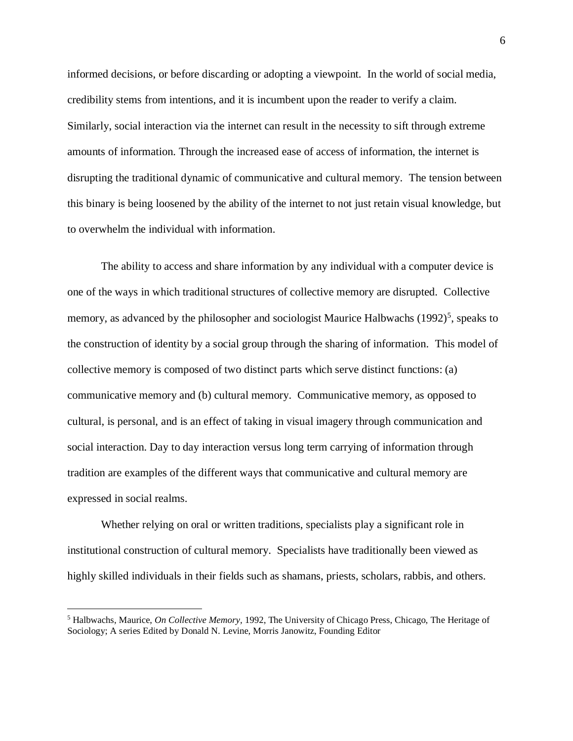informed decisions, or before discarding or adopting a viewpoint. In the world of social media, credibility stems from intentions, and it is incumbent upon the reader to verify a claim. Similarly, social interaction via the internet can result in the necessity to sift through extreme amounts of information. Through the increased ease of access of information, the internet is disrupting the traditional dynamic of communicative and cultural memory. The tension between this binary is being loosened by the ability of the internet to not just retain visual knowledge, but to overwhelm the individual with information.

The ability to access and share information by any individual with a computer device is one of the ways in which traditional structures of collective memory are disrupted. Collective memory, as advanced by the philosopher and sociologist Maurice Halbwachs (1992)<sup>5</sup>, speaks to the construction of identity by a social group through the sharing of information. This model of collective memory is composed of two distinct parts which serve distinct functions: (a) communicative memory and (b) cultural memory. Communicative memory, as opposed to cultural, is personal, and is an effect of taking in visual imagery through communication and social interaction. Day to day interaction versus long term carrying of information through tradition are examples of the different ways that communicative and cultural memory are expressed in social realms.

Whether relying on oral or written traditions, specialists play a significant role in institutional construction of cultural memory. Specialists have traditionally been viewed as highly skilled individuals in their fields such as shamans, priests, scholars, rabbis, and others.

<sup>5</sup> Halbwachs, Maurice, *On Collective Memory,* 1992, The University of Chicago Press, Chicago, The Heritage of Sociology; A series Edited by Donald N. Levine, Morris Janowitz, Founding Editor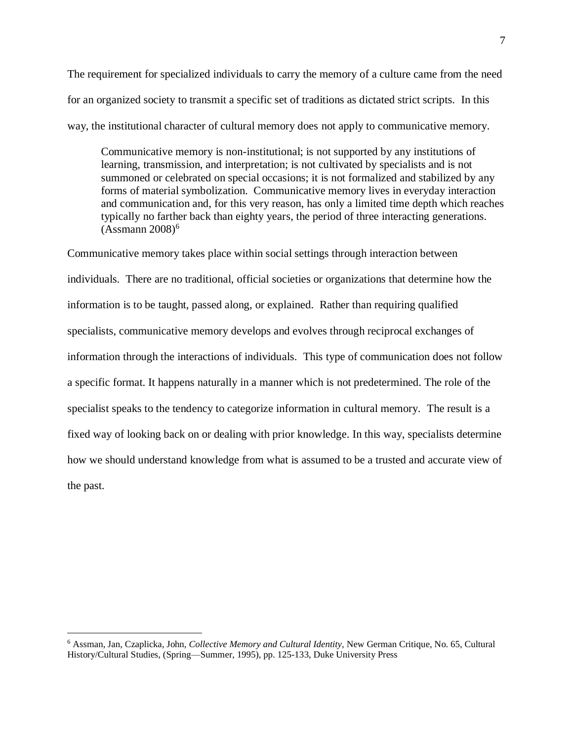The requirement for specialized individuals to carry the memory of a culture came from the need for an organized society to transmit a specific set of traditions as dictated strict scripts. In this way, the institutional character of cultural memory does not apply to communicative memory.

Communicative memory is non-institutional; is not supported by any institutions of learning, transmission, and interpretation; is not cultivated by specialists and is not summoned or celebrated on special occasions; it is not formalized and stabilized by any forms of material symbolization. Communicative memory lives in everyday interaction and communication and, for this very reason, has only a limited time depth which reaches typically no farther back than eighty years, the period of three interacting generations.  $(Assmann 2008)^6$ 

Communicative memory takes place within social settings through interaction between individuals. There are no traditional, official societies or organizations that determine how the information is to be taught, passed along, or explained. Rather than requiring qualified specialists, communicative memory develops and evolves through reciprocal exchanges of information through the interactions of individuals. This type of communication does not follow a specific format. It happens naturally in a manner which is not predetermined. The role of the specialist speaks to the tendency to categorize information in cultural memory. The result is a fixed way of looking back on or dealing with prior knowledge. In this way, specialists determine how we should understand knowledge from what is assumed to be a trusted and accurate view of the past.

<sup>6</sup> Assman, Jan, Czaplicka, John, *Collective Memory and Cultural Identity,* New German Critique, No. 65, Cultural History/Cultural Studies, (Spring—Summer, 1995), pp. 125-133, Duke University Press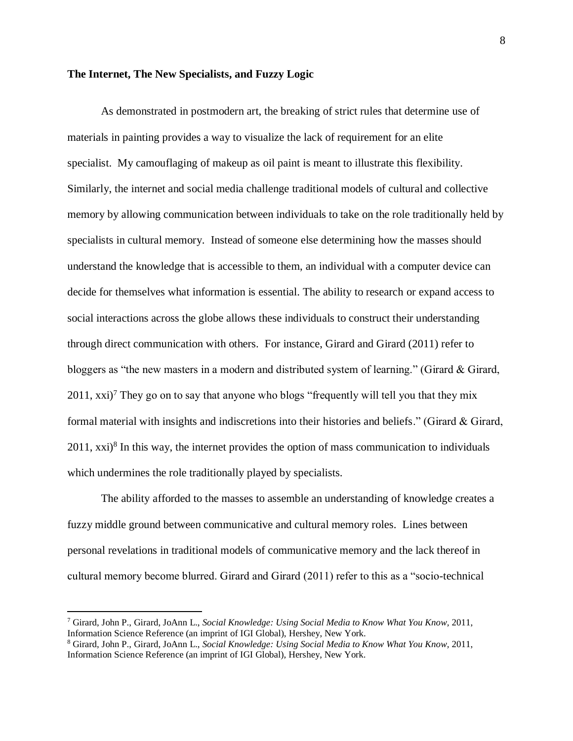#### **The Internet, The New Specialists, and Fuzzy Logic**

As demonstrated in postmodern art, the breaking of strict rules that determine use of materials in painting provides a way to visualize the lack of requirement for an elite specialist. My camouflaging of makeup as oil paint is meant to illustrate this flexibility. Similarly, the internet and social media challenge traditional models of cultural and collective memory by allowing communication between individuals to take on the role traditionally held by specialists in cultural memory. Instead of someone else determining how the masses should understand the knowledge that is accessible to them, an individual with a computer device can decide for themselves what information is essential. The ability to research or expand access to social interactions across the globe allows these individuals to construct their understanding through direct communication with others. For instance, Girard and Girard (2011) refer to bloggers as "the new masters in a modern and distributed system of learning." (Girard & Girard,  $2011$ , xxi)<sup>7</sup> They go on to say that anyone who blogs "frequently will tell you that they mix formal material with insights and indiscretions into their histories and beliefs." (Girard  $\&$  Girard,  $2011$ ,  $xxi$ <sup>8</sup> In this way, the internet provides the option of mass communication to individuals which undermines the role traditionally played by specialists.

The ability afforded to the masses to assemble an understanding of knowledge creates a fuzzy middle ground between communicative and cultural memory roles. Lines between personal revelations in traditional models of communicative memory and the lack thereof in cultural memory become blurred. Girard and Girard (2011) refer to this as a "socio-technical

<sup>7</sup> Girard, John P., Girard, JoAnn L., *Social Knowledge: Using Social Media to Know What You Know,* 2011, Information Science Reference (an imprint of IGI Global), Hershey, New York.

<sup>8</sup> Girard, John P., Girard, JoAnn L., *Social Knowledge: Using Social Media to Know What You Know,* 2011, Information Science Reference (an imprint of IGI Global), Hershey, New York.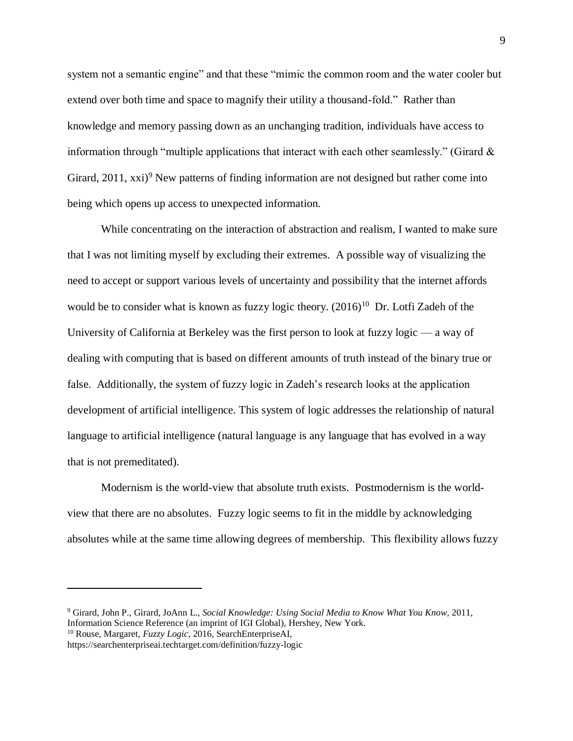system not a semantic engine" and that these "mimic the common room and the water cooler but extend over both time and space to magnify their utility a thousand-fold." Rather than knowledge and memory passing down as an unchanging tradition, individuals have access to information through "multiple applications that interact with each other seamlessly." (Girard  $\&$ Girard,  $2011$ ,  $xxi$ )<sup>9</sup> New patterns of finding information are not designed but rather come into being which opens up access to unexpected information.

While concentrating on the interaction of abstraction and realism, I wanted to make sure that I was not limiting myself by excluding their extremes. A possible way of visualizing the need to accept or support various levels of uncertainty and possibility that the internet affords would be to consider what is known as fuzzy logic theory.  $(2016)^{10}$  Dr. Lotfi Zadeh of the University of California at Berkeley was the first person to look at fuzzy logic — a way of dealing with computing that is based on different amounts of truth instead of the binary true or false. Additionally, the system of fuzzy logic in Zadeh's research looks at the application development of artificial intelligence. This system of logic addresses the relationship of natural language to artificial intelligence (natural language is any language that has evolved in a way that is not premeditated).

 Modernism is the world-view that absolute truth exists. Postmodernism is the worldview that there are no absolutes. Fuzzy logic seems to fit in the middle by acknowledging absolutes while at the same time allowing degrees of membership. This flexibility allows fuzzy

<sup>9</sup> Girard, John P., Girard, JoAnn L., *Social Knowledge: Using Social Media to Know What You Know,* 2011, Information Science Reference (an imprint of IGI Global), Hershey, New York.

<sup>10</sup> Rouse, Margaret, *Fuzzy Logic,* 2016, SearchEnterpriseAI,

 $\overline{a}$ 

https://searchenterpriseai.techtarget.com/definition/fuzzy-logic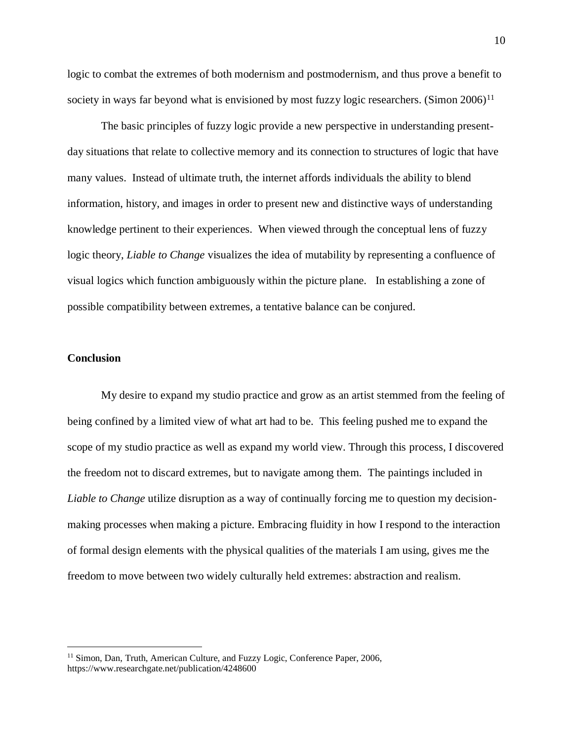logic to combat the extremes of both modernism and postmodernism, and thus prove a benefit to society in ways far beyond what is envisioned by most fuzzy logic researchers. (Simon  $2006$ )<sup>11</sup>

The basic principles of fuzzy logic provide a new perspective in understanding presentday situations that relate to collective memory and its connection to structures of logic that have many values. Instead of ultimate truth, the internet affords individuals the ability to blend information, history, and images in order to present new and distinctive ways of understanding knowledge pertinent to their experiences. When viewed through the conceptual lens of fuzzy logic theory, *Liable to Change* visualizes the idea of mutability by representing a confluence of visual logics which function ambiguously within the picture plane. In establishing a zone of possible compatibility between extremes, a tentative balance can be conjured.

#### **Conclusion**

 $\overline{a}$ 

 My desire to expand my studio practice and grow as an artist stemmed from the feeling of being confined by a limited view of what art had to be. This feeling pushed me to expand the scope of my studio practice as well as expand my world view. Through this process, I discovered the freedom not to discard extremes, but to navigate among them. The paintings included in *Liable to Change* utilize disruption as a way of continually forcing me to question my decisionmaking processes when making a picture. Embracing fluidity in how I respond to the interaction of formal design elements with the physical qualities of the materials I am using, gives me the freedom to move between two widely culturally held extremes: abstraction and realism.

<sup>&</sup>lt;sup>11</sup> Simon, Dan, Truth, American Culture, and Fuzzy Logic, Conference Paper, 2006, https://www.researchgate.net/publication/4248600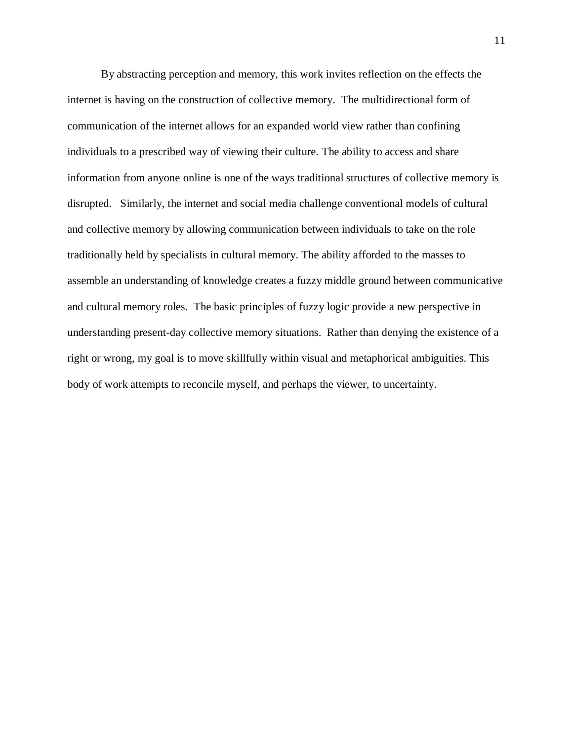By abstracting perception and memory, this work invites reflection on the effects the internet is having on the construction of collective memory. The multidirectional form of communication of the internet allows for an expanded world view rather than confining individuals to a prescribed way of viewing their culture. The ability to access and share information from anyone online is one of the ways traditional structures of collective memory is disrupted. Similarly, the internet and social media challenge conventional models of cultural and collective memory by allowing communication between individuals to take on the role traditionally held by specialists in cultural memory. The ability afforded to the masses to assemble an understanding of knowledge creates a fuzzy middle ground between communicative and cultural memory roles. The basic principles of fuzzy logic provide a new perspective in understanding present-day collective memory situations. Rather than denying the existence of a right or wrong, my goal is to move skillfully within visual and metaphorical ambiguities. This body of work attempts to reconcile myself, and perhaps the viewer, to uncertainty.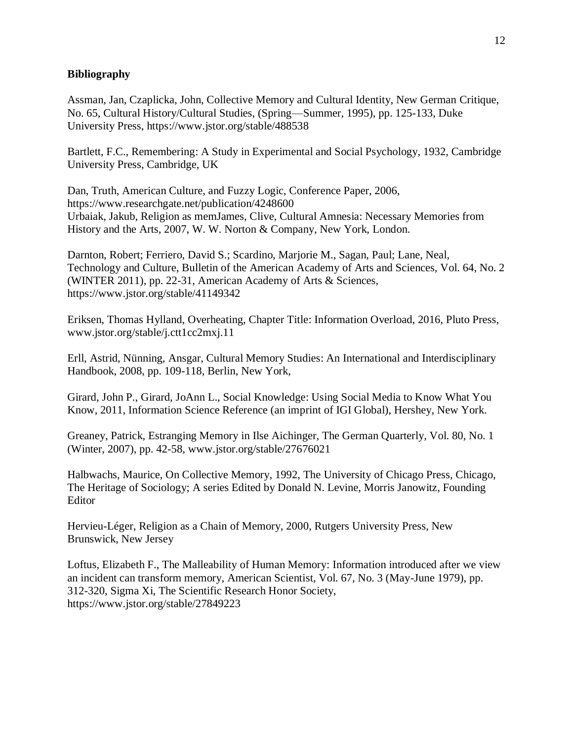### **Bibliography**

Assman, Jan, Czaplicka, John, Collective Memory and Cultural Identity, New German Critique, No. 65, Cultural History/Cultural Studies, (Spring—Summer, 1995), pp. 125-133, Duke University Press, https://www.jstor.org/stable/488538

Bartlett, F.C., Remembering: A Study in Experimental and Social Psychology, 1932, Cambridge University Press, Cambridge, UK

Dan, Truth, American Culture, and Fuzzy Logic, Conference Paper, 2006, https://www.researchgate.net/publication/4248600 Urbaiak, Jakub, Religion as memJames, Clive, Cultural Amnesia: Necessary Memories from History and the Arts, 2007, W. W. Norton & Company, New York, London.

Darnton, Robert; Ferriero, David S.; Scardino, Marjorie M., Sagan, Paul; Lane, Neal, Technology and Culture, Bulletin of the American Academy of Arts and Sciences, Vol. 64, No. 2 (WINTER 2011), pp. 22-31, American Academy of Arts & Sciences, https://www.jstor.org/stable/41149342

Eriksen, Thomas Hylland, Overheating, Chapter Title: Information Overload, 2016, Pluto Press, www.jstor.org/stable/j.ctt1cc2mxj.11

Erll, Astrid, Nünning, Ansgar, Cultural Memory Studies: An International and Interdisciplinary Handbook, 2008, pp. 109-118, Berlin, New York,

Girard, John P., Girard, JoAnn L., Social Knowledge: Using Social Media to Know What You Know, 2011, Information Science Reference (an imprint of IGI Global), Hershey, New York.

Greaney, Patrick, Estranging Memory in Ilse Aichinger, The German Quarterly, Vol. 80, No. 1 (Winter, 2007), pp. 42-58, www.jstor.org/stable/27676021

Halbwachs, Maurice, On Collective Memory, 1992, The University of Chicago Press, Chicago, The Heritage of Sociology; A series Edited by Donald N. Levine, Morris Janowitz, Founding Editor

Hervieu-Léger, Religion as a Chain of Memory, 2000, Rutgers University Press, New Brunswick, New Jersey

Loftus, Elizabeth F., The Malleability of Human Memory: Information introduced after we view an incident can transform memory, American Scientist, Vol. 67, No. 3 (May-June 1979), pp. 312-320, Sigma Xi, The Scientific Research Honor Society, https://www.jstor.org/stable/27849223